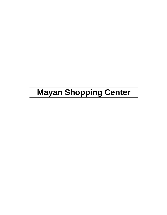# **Mayan Shopping Center**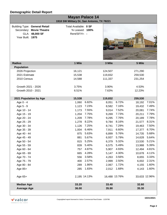|                                                                                                        | <b>Mayan Palace 14</b><br>1918 SW Military Dr, San Antonio, TX 78221 |       |         |               |               |       |
|--------------------------------------------------------------------------------------------------------|----------------------------------------------------------------------|-------|---------|---------------|---------------|-------|
| <b>Building Type: General Retail</b><br>Secondary: Movie Theatre<br>GLA: 48,000 SF<br>Year Built: 1975 | Total Available: 0 SF<br>% Leased: 100%<br>Rent/SF/Yr: -             |       |         | 弱弱眼           |               |       |
| <b>Radius</b>                                                                                          | 1 Mile                                                               |       | 3 Mile  |               | 5 Mile        |       |
| <b>Population</b>                                                                                      |                                                                      |       |         |               |               |       |
| 2026 Projection                                                                                        | 16,121                                                               |       | 124,507 |               | 271,290       |       |
| 2021 Estimate                                                                                          | 15,538                                                               |       | 119,832 |               | 259,530       |       |
| 2010 Census                                                                                            | 14,588                                                               |       | 111,337 |               | 231,254       |       |
| Growth 2021 - 2026                                                                                     | 3.75%                                                                |       | 3.90%   |               | 4.53%         |       |
| Growth 2010 - 2021                                                                                     | 6.51%                                                                |       | 7.63%   |               | 12.23%        |       |
| 2021 Population by Age                                                                                 | 15,538                                                               |       | 119,832 |               | 259,530       |       |
| Age 0 - 4                                                                                              | 1,060                                                                | 6.82% | 8,051   | 6.72%         | 18,192        | 7.01% |
| Age 5 - 9                                                                                              | 1,123                                                                | 7.23% | 8,582   | 7.16%         | 19,432        | 7.49% |
| Age 10 - 14                                                                                            | 1,173                                                                | 7.55% | 9,014   | 7.52%         | 20,081        | 7.74% |
| Age 15 - 19                                                                                            | 1,204                                                                | 7.75% | 9,269   | 7.73%         | 20,211        | 7.79% |
| Age 20 - 24                                                                                            | 1,209                                                                | 7.78% | 9,295   | 7.76%         | 20,189        | 7.78% |
| Age 25 - 29                                                                                            | 1,278                                                                | 8.22% | 9,784   | 8.16%         | 21,577        | 8.31% |
| Age 30 - 34                                                                                            | 1,126                                                                | 7.25% | 8,741   | 7.29%         | 19,463        | 7.50% |
| Age 35 - 39                                                                                            | 1,004                                                                | 6.46% | 7,911   | 6.60%         | 17,377        | 6.70% |
| Age 40 - 44                                                                                            | 875                                                                  | 5.63% | 6,899   | 5.76%         | 14,735        | 5.68% |
| Age 45 - 49                                                                                            | 881                                                                  | 5.67% |         | 6,937 5.79%   | 14,628 5.64%  |       |
| Age 50 - 54                                                                                            | 815                                                                  | 5.25% | 6,379   | 5.32%         | 13,530        | 5.21% |
| Age 55 - 59                                                                                            | 839                                                                  | 5.40% | 6,575   | 5.49%         | 13,988        | 5.39% |
| Age 60 - 64                                                                                            | 757                                                                  | 4.87% | 5,907   | 4.93%         | 12,494        | 4.81% |
| Age 65 - 69                                                                                            | 665                                                                  | 4.28% | 5,147   | 4.30%         | 10,678        | 4.11% |
| Age 70 - 74                                                                                            | 556                                                                  | 3.58% | 4,263   | 3.56%         | 8,655         | 3.33% |
| Age 75 - 79                                                                                            | 400                                                                  | 2.57% | 2,999   | 2.50%         | 6,002         | 2.31% |
| Age 80 - 84                                                                                            | 289                                                                  | 1.86% | 2,067   | 1.72%         | 4,155         | 1.60% |
| Age 85+                                                                                                | 285                                                                  | 1.83% | 2,012   | 1.68%         | 4,143         | 1.60% |
| Age 65+                                                                                                | 2,195 14.13%                                                         |       |         | 16,488 13.76% | 33,633 12.96% |       |
| <b>Median Age</b>                                                                                      | 33.20                                                                |       | 33.40   |               | 32.60         |       |
| <b>Average Age</b>                                                                                     | 36.00                                                                |       | 35.90   |               | 35.30         |       |



**10/21/2021**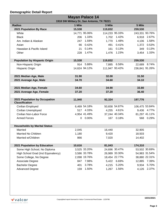| <b>Mayan Palace 14</b>                     |        |               |         |                |                |                |  |  |
|--------------------------------------------|--------|---------------|---------|----------------|----------------|----------------|--|--|
| 1918 SW Military Dr, San Antonio, TX 78221 |        |               |         |                |                |                |  |  |
| <b>Radius</b>                              | 1 Mile |               | 3 Mile  |                | 5 Mile         |                |  |  |
| 2021 Population By Race                    | 15,538 |               | 119,832 |                | 259,530        |                |  |  |
| White                                      |        | 14,771 95.06% |         | 114,233 95.33% |                | 243,331 93.76% |  |  |
| <b>Black</b>                               |        | 206 1.33%     |         | 1,702 1.42%    |                | 6,918 2.67%    |  |  |
| Am. Indian & Alaskan                       | 247    | 1.59%         | 1,770   | 1.48%          | 4,106          | 1.58%          |  |  |
| Asian                                      | 66     | 0.42%         | 491     | 0.41%          | 1,372          | 0.53%          |  |  |
| Hawaiian & Pacific Island                  | 21     | 0.14%         | 161     | 0.13%          | 349            | 0.13%          |  |  |
| Other                                      | 228    | 1.47%         | 1,476   | 1.23%          | 3,454          | 1.33%          |  |  |
|                                            |        |               |         |                |                |                |  |  |
| <b>Population by Hispanic Origin</b>       | 15,538 |               | 119,832 |                | 259,530        |                |  |  |
| Non-Hispanic Origin                        |        | 914 5.88%     | 7,885   | 6.58%          |                | 22,689 8.74%   |  |  |
| Hispanic Origin                            |        | 14,624 94.12% |         | 111,947 93.42% |                | 236,841 91.26% |  |  |
|                                            |        |               |         |                |                |                |  |  |
| 2021 Median Age, Male                      | 31.90  |               | 32.00   |                | 31.50          |                |  |  |
| 2021 Average Age, Male                     | 34.70  |               | 34.60   |                | 34.10          |                |  |  |
|                                            |        |               |         |                |                |                |  |  |
| 2021 Median Age, Female                    | 34.60  |               | 34.90   |                | 33.80          |                |  |  |
| 2021 Average Age, Female                   | 37.20  |               | 37.20   |                | 36.40          |                |  |  |
|                                            |        |               |         |                |                |                |  |  |
| 2021 Population by Occupation              | 11,940 |               | 92,324  |                | 197,776        |                |  |  |
| <b>Classification</b>                      |        |               |         |                |                |                |  |  |
| Civilian Employed                          |        | 6,469 54.18%  |         | 50,658 54.87%  | 106,475 53.84% |                |  |  |
| <b>Civilian Unemployed</b>                 |        | 517 4.33%     |         | 4,255 4.61%    |                | 9,436 4.77%    |  |  |
| Civilian Non-Labor Force                   |        | 4,954 41.49%  |         | 37,244 40.34%  |                | 81,297 41.11%  |  |  |
| <b>Armed Forces</b>                        |        | $0.00\%$      |         | 167 0.18%      |                | 568 0.29%      |  |  |
|                                            |        |               |         |                |                |                |  |  |
| <b>Households by Marital Status</b>        |        |               |         |                |                |                |  |  |
| Married                                    | 2,045  |               | 16,440  |                | 32,905         |                |  |  |
| Married No Children                        | 1,180  |               | 9,420   |                | 18,503         |                |  |  |
| Married w/Children                         | 866    |               | 7,020   |                | 14,402         |                |  |  |
|                                            |        |               |         |                |                |                |  |  |
| 2021 Population by Education               | 10,616 |               | 81,043  |                | 174,310        |                |  |  |
| Some High School, No Diploma               |        | 3,525 33.20%  |         | 24,696 30.47%  |                | 53,502 30.69%  |  |  |
| High School Grad (Incl Equivalency)        |        | 3,586 33.78%  |         | 26,989 33.30%  |                | 54,983 31.54%  |  |  |
| Some College, No Degree                    |        | 2,098 19.76%  |         | 18,454 22.77%  |                | 38,880 22.31%  |  |  |
| Associate Degree                           | 847    | 7.98%         | 5,422   | 6.69%          | 12,885         | 7.39%          |  |  |
| <b>Bachelor Degree</b>                     | 401    | 3.78%         | 4,215   | 5.20%          | 9,934          | 5.70%          |  |  |
| <b>Advanced Degree</b>                     | 159    | 1.50%         | 1,267   | 1.56%          | 4,126          | 2.37%          |  |  |

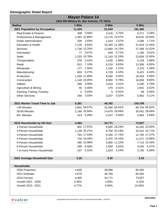| <b>Mayan Palace 14</b>                     |        |              |        |               |         |               |  |  |
|--------------------------------------------|--------|--------------|--------|---------------|---------|---------------|--|--|
| 1918 SW Military Dr, San Antonio, TX 78221 |        |              |        |               |         |               |  |  |
| <b>Radius</b>                              | 1 Mile |              | 3 Mile |               | 5 Mile  |               |  |  |
| 2021 Population by Occupation              | 11,434 |              | 91,044 |               | 191,360 |               |  |  |
| Real Estate & Finance                      | 308    | 2.69%        | 3,416  | 3.75%         | 6,271   | 3.28%         |  |  |
| Professional & Management                  |        | 1,463 12.80% |        | 13,176 14.47% |         | 30,620 16.00% |  |  |
| <b>Public Administration</b>               | 209    | 1.83%        |        | 1,524 1.67%   | 3,268   | 1.71%         |  |  |
| <b>Education &amp; Health</b>              | 1,135  | 9.93%        |        | 10,269 11.28% |         | 21,919 11.45% |  |  |
| Services                                   |        | 1,738 15.20% |        | 12,860 14.13% |         | 27,399 14.32% |  |  |
| Information                                | 77     | 0.67%        | 649    | 0.71%         | 1,165   | 0.61%         |  |  |
| <b>Sales</b>                               |        | 1,233 10.78% |        | 11,143 12.24% |         | 23,826 12.45% |  |  |
| Transportation                             | 378    | 3.31%        | 2,426  | 2.66%         | 5,128   | 2.68%         |  |  |
| Retail                                     | 812    | 7.10%        | 6,218  | 6.83%         | 13,306  | 6.95%         |  |  |
| Wholesale                                  | 177    | 1.55%        | 1,100  | 1.21%         | 2,475   | 1.29%         |  |  |
| Manufacturing                              | 603    | 5.27%        | 3,729  | 4.10%         | 8,421   | 4.40%         |  |  |
| Production                                 |        | 1,359 11.89% | 9,030  | 9.92%         | 18,344  | 9.59%         |  |  |
| Construction                               |        | 1,149 10.05% | 8,900  | 9.78%         | 16,836  | 8.80%         |  |  |
| <b>Utilities</b>                           | 396    | 3.46%        | 3,018  | 3.31%         | 5,340   | 2.79%         |  |  |
| Agriculture & Mining                       | 46     | 0.40%        | 370    | 0.41%         | 1,001   | 0.52%         |  |  |
| Farming, Fishing, Forestry                 | 5      | 0.04%        | 9      | 0.01%         | 89      | 0.05%         |  |  |
| <b>Other Services</b>                      | 346    | 3.03%        | 3,207  | 3.52%         | 5,952   | 3.11%         |  |  |
|                                            |        |              |        |               |         |               |  |  |
| 2021 Worker Travel Time to Job             | 6,381  |              | 49,782 |               | 104,709 |               |  |  |
| <30 Minutes                                |        | 3,801 59.57% |        | 31,666 63.61% |         | 68,705 65.62% |  |  |
| 30-60 Minutes                              |        | 2,166 33.94% |        | 14,879 29.89% |         | 30,041 28.69% |  |  |
| 60+ Minutes                                |        | 414 6.49%    |        | 3,237 6.50%   |         | 5,963 5.69%   |  |  |
|                                            |        |              |        |               |         |               |  |  |
| 2010 Households by HH Size                 | 4,464  |              | 34,771 |               | 73,927  |               |  |  |
| 1-Person Households                        |        | 802 17.97%   |        | 6,690 19.24%  |         | 16,262 22.00% |  |  |
| 2-Person Households                        |        | 1,128 25.27% |        | 8,760 25.19%  |         | 18,315 24.77% |  |  |
| 3-Person Households                        |        | 783 17.54%   |        | 6,169 17.74%  |         | 12,765 17.27% |  |  |
| 4-Person Households                        |        | 734 16.44%   |        | 5,370 15.44%  |         | 11,071 14.98% |  |  |
| 5-Person Households                        |        | 490 10.98%   |        | 3,900 11.22%  |         | 7,714 10.43%  |  |  |
| 6-Person Households                        |        | 290 6.50%    |        | 2,059 5.92%   |         | 4,044 5.47%   |  |  |
| 7 or more Person Households                | 237    | 5.31%        | 1,823  | 5.24%         | 3,756   | 5.08%         |  |  |
|                                            |        |              |        |               |         |               |  |  |
| 2021 Average Household Size                | 3.20   |              | 3.20   |               | 3.10    |               |  |  |
|                                            |        |              |        |               |         |               |  |  |
| <b>Households</b>                          |        |              |        |               |         |               |  |  |
| 2026 Projection                            | 4,835  |              | 38,088 |               | 85,465  |               |  |  |
| 2021 Estimate                              | 4,678  |              | 36,799 |               | 82,002  |               |  |  |
| 2010 Census                                | 4,465  |              | 34,771 |               | 73,927  |               |  |  |
| Growth 2021 - 2026                         | 3.36%  |              | 3.50%  |               | 4.22%   |               |  |  |
| Growth 2010 - 2021                         | 4.77%  |              | 5.83%  |               | 10.92%  |               |  |  |
|                                            |        |              |        |               |         |               |  |  |



**10/21/2021**